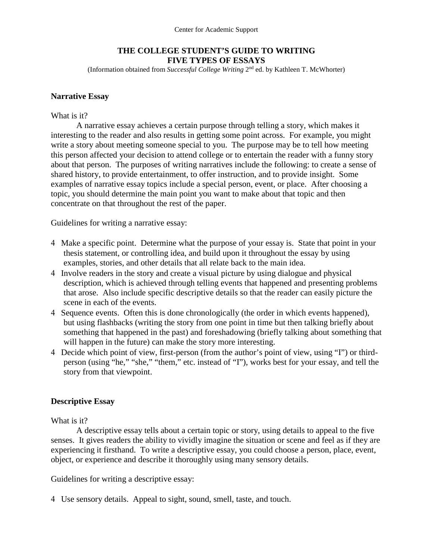Center for Academic Support

## **THE COLLEGE STUDENT'S GUIDE TO WRITING FIVE TYPES OF ESSAYS**

(Information obtained from *Successful College Writing* 2nd ed. by Kathleen T. McWhorter)

## **Narrative Essay**

### What is it?

A narrative essay achieves a certain purpose through telling a story, which makes it interesting to the reader and also results in getting some point across. For example, you might write a story about meeting someone special to you. The purpose may be to tell how meeting this person affected your decision to attend college or to entertain the reader with a funny story about that person. The purposes of writing narratives include the following: to create a sense of shared history, to provide entertainment, to offer instruction, and to provide insight. Some examples of narrative essay topics include a special person, event, or place. After choosing a topic, you should determine the main point you want to make about that topic and then concentrate on that throughout the rest of the paper.

Guidelines for writing a narrative essay:

- 4 Make a specific point. Determine what the purpose of your essay is. State that point in your thesis statement, or controlling idea, and build upon it throughout the essay by using examples, stories, and other details that all relate back to the main idea.
- 4 Involve readers in the story and create a visual picture by using dialogue and physical description, which is achieved through telling events that happened and presenting problems that arose. Also include specific descriptive details so that the reader can easily picture the scene in each of the events.
- 4 Sequence events. Often this is done chronologically (the order in which events happened), but using flashbacks (writing the story from one point in time but then talking briefly about something that happened in the past) and foreshadowing (briefly talking about something that will happen in the future) can make the story more interesting.
- 4 Decide which point of view, first-person (from the author's point of view, using "I") or thirdperson (using "he," "she," "them," etc. instead of "I"), works best for your essay, and tell the story from that viewpoint.

## **Descriptive Essay**

What is it?

A descriptive essay tells about a certain topic or story, using details to appeal to the five senses. It gives readers the ability to vividly imagine the situation or scene and feel as if they are experiencing it firsthand. To write a descriptive essay, you could choose a person, place, event, object, or experience and describe it thoroughly using many sensory details.

Guidelines for writing a descriptive essay:

4 Use sensory details. Appeal to sight, sound, smell, taste, and touch.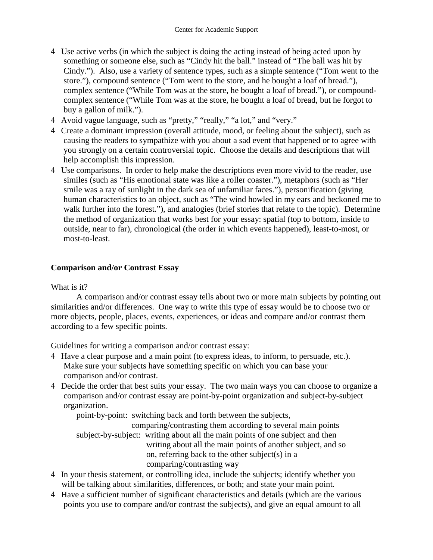- 4 Use active verbs (in which the subject is doing the acting instead of being acted upon by something or someone else, such as "Cindy hit the ball." instead of "The ball was hit by Cindy."). Also, use a variety of sentence types, such as a simple sentence ("Tom went to the store."), compound sentence ("Tom went to the store, and he bought a loaf of bread."), complex sentence ("While Tom was at the store, he bought a loaf of bread."), or compoundcomplex sentence ("While Tom was at the store, he bought a loaf of bread, but he forgot to buy a gallon of milk.").
- 4 Avoid vague language, such as "pretty," "really," "a lot," and "very."
- 4 Create a dominant impression (overall attitude, mood, or feeling about the subject), such as causing the readers to sympathize with you about a sad event that happened or to agree with you strongly on a certain controversial topic. Choose the details and descriptions that will help accomplish this impression.
- 4 Use comparisons. In order to help make the descriptions even more vivid to the reader, use similes (such as "His emotional state was like a roller coaster."), metaphors (such as "Her smile was a ray of sunlight in the dark sea of unfamiliar faces."), personification (giving human characteristics to an object, such as "The wind howled in my ears and beckoned me to walk further into the forest."), and analogies (brief stories that relate to the topic). Determine the method of organization that works best for your essay: spatial (top to bottom, inside to outside, near to far), chronological (the order in which events happened), least-to-most, or most-to-least.

## **Comparison and/or Contrast Essay**

What is it?

A comparison and/or contrast essay tells about two or more main subjects by pointing out similarities and/or differences. One way to write this type of essay would be to choose two or more objects, people, places, events, experiences, or ideas and compare and/or contrast them according to a few specific points.

Guidelines for writing a comparison and/or contrast essay:

- 4 Have a clear purpose and a main point (to express ideas, to inform, to persuade, etc.). Make sure your subjects have something specific on which you can base your comparison and/or contrast.
- 4 Decide the order that best suits your essay. The two main ways you can choose to organize a comparison and/or contrast essay are point-by-point organization and subject-by-subject organization.

point-by-point: switching back and forth between the subjects,

 comparing/contrasting them according to several main points subject-by-subject: writing about all the main points of one subject and then writing about all the main points of another subject, and so on, referring back to the other subject(s) in a comparing/contrasting way

- 4 In your thesis statement, or controlling idea, include the subjects; identify whether you will be talking about similarities, differences, or both; and state your main point.
- 4 Have a sufficient number of significant characteristics and details (which are the various points you use to compare and/or contrast the subjects), and give an equal amount to all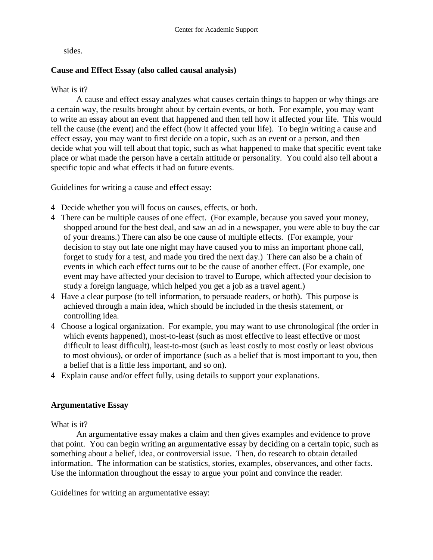sides.

## **Cause and Effect Essay (also called causal analysis)**

### What is it?

A cause and effect essay analyzes what causes certain things to happen or why things are a certain way, the results brought about by certain events, or both. For example, you may want to write an essay about an event that happened and then tell how it affected your life. This would tell the cause (the event) and the effect (how it affected your life). To begin writing a cause and effect essay, you may want to first decide on a topic, such as an event or a person, and then decide what you will tell about that topic, such as what happened to make that specific event take place or what made the person have a certain attitude or personality. You could also tell about a specific topic and what effects it had on future events.

Guidelines for writing a cause and effect essay:

- 4 Decide whether you will focus on causes, effects, or both.
- 4 There can be multiple causes of one effect. (For example, because you saved your money, shopped around for the best deal, and saw an ad in a newspaper, you were able to buy the car of your dreams.) There can also be one cause of multiple effects. (For example, your decision to stay out late one night may have caused you to miss an important phone call, forget to study for a test, and made you tired the next day.) There can also be a chain of events in which each effect turns out to be the cause of another effect. (For example, one event may have affected your decision to travel to Europe, which affected your decision to study a foreign language, which helped you get a job as a travel agent.)
- 4 Have a clear purpose (to tell information, to persuade readers, or both). This purpose is achieved through a main idea, which should be included in the thesis statement, or controlling idea.
- 4 Choose a logical organization. For example, you may want to use chronological (the order in which events happened), most-to-least (such as most effective to least effective or most difficult to least difficult), least-to-most (such as least costly to most costly or least obvious to most obvious), or order of importance (such as a belief that is most important to you, then a belief that is a little less important, and so on).
- 4 Explain cause and/or effect fully, using details to support your explanations.

### **Argumentative Essay**

What is it?

An argumentative essay makes a claim and then gives examples and evidence to prove that point. You can begin writing an argumentative essay by deciding on a certain topic, such as something about a belief, idea, or controversial issue. Then, do research to obtain detailed information. The information can be statistics, stories, examples, observances, and other facts. Use the information throughout the essay to argue your point and convince the reader.

Guidelines for writing an argumentative essay: